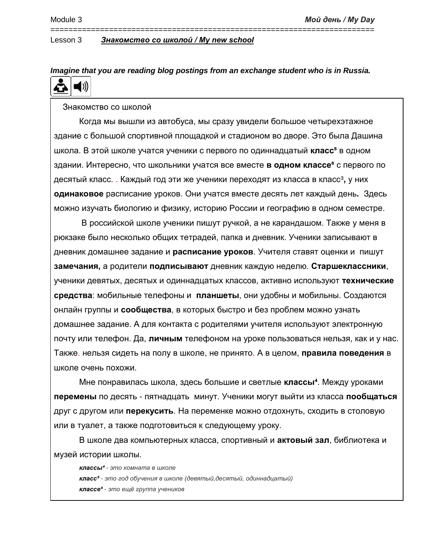#### *Imagine that you are reading blog postings from an exchange student who is in Russia.*  $\blacksquare$ £À

========================================================================

#### Знакомство со школой

Когда мы вышли из автобуса, мы сразу увидели большое четырехэтажное здание с большой спортивной площадкой и стадионом во дворе. Это была Дашина школа. В этой школе учатся ученики с первого по одиннадцатый **класс<sup>5</sup> в одном** здании. Интересно, что школьники учатся все вместе в **одном классе<sup>є</sup> с первого по** десятый класс. . Каждый год эти же ученики переходят из класса в класс<sup>3</sup>, у них **одинаковое** расписание уроков. Они учатся вместе десять лет каждый день**.** Здесь можно изучать биологию и физику, историю России и географию в одном семестре.

В российской школе ученики пишут ручкой, а не карандашом. Также у меня в рюкзаке было несколько общих тетрадей, папка и дневник. Ученики записывают в дневник домашнее задание и **расписание уроков**. Учителя ставят оценки и пишут **замечания,** а родители **подписывают** дневник каждую неделю. **Старшеклассники**, ученики девятых, десятых и одиннадцатых классов, активно используют **технические средства**: мобильные телефоны и **планшеты**, они удобны и мобильны. Создаются онлайн группы и **сообщества**, в которых быстро и без проблем можно узнать домашнее задание. А для контакта с родителями учителя используют электронную почту или телефон. Да, **личным** телефоном на уроке пользоваться нельзя, как и у нас. Также. нельзя сидеть на полу в школе, не принято. А в целом, **правила поведения** в школе очень похожи.

Мне понравилась школа, здесь большие и светлые **классы⁴**. Между уроками **перемены** по десять - пятнадцать минут. Ученики могут выйти из класса **пообщаться** друг с другом или **перекусить**. На переменке можно отдохнуть, сходить в столовую или в туалет, а также подготовиться к следующему уроку.

В школе два компьютерных класса, спортивный и **актовый зал**, библиотека и музей истории школы.

*классы⁴ - это комната в школе класс⁵ - это год обучения в школе (девятый,десятый, одиннадцатый) классе⁶ - это ещё группа учеников*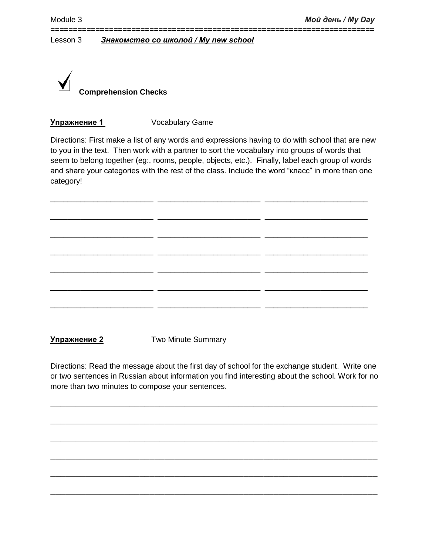

## **Упражнение 1** Vocabulary Game

Directions: First make a list of any words and expressions having to do with school that are new to you in the text. Then work with a partner to sort the vocabulary into groups of words that seem to belong together (eg:, rooms, people, objects, etc.). Finally, label each group of words and share your categories with the rest of the class. Include the word "класс" in more than one category!

\_\_\_\_\_\_\_\_\_\_\_\_\_\_\_\_\_\_\_\_\_\_\_\_ \_\_\_\_\_\_\_\_\_\_\_\_\_\_\_\_\_\_\_\_\_\_\_\_ \_\_\_\_\_\_\_\_\_\_\_\_\_\_\_\_\_\_\_\_\_\_\_\_

\_\_\_\_\_\_\_\_\_\_\_\_\_\_\_\_\_\_\_\_\_\_\_\_ \_\_\_\_\_\_\_\_\_\_\_\_\_\_\_\_\_\_\_\_\_\_\_\_ \_\_\_\_\_\_\_\_\_\_\_\_\_\_\_\_\_\_\_\_\_\_\_\_

\_\_\_\_\_\_\_\_\_\_\_\_\_\_\_\_\_\_\_\_\_\_\_\_ \_\_\_\_\_\_\_\_\_\_\_\_\_\_\_\_\_\_\_\_\_\_\_\_ \_\_\_\_\_\_\_\_\_\_\_\_\_\_\_\_\_\_\_\_\_\_\_\_

\_\_\_\_\_\_\_\_\_\_\_\_\_\_\_\_\_\_\_\_\_\_\_\_ \_\_\_\_\_\_\_\_\_\_\_\_\_\_\_\_\_\_\_\_\_\_\_\_ \_\_\_\_\_\_\_\_\_\_\_\_\_\_\_\_\_\_\_\_\_\_\_\_

\_\_\_\_\_\_\_\_\_\_\_\_\_\_\_\_\_\_\_\_\_\_\_\_ \_\_\_\_\_\_\_\_\_\_\_\_\_\_\_\_\_\_\_\_\_\_\_\_ \_\_\_\_\_\_\_\_\_\_\_\_\_\_\_\_\_\_\_\_\_\_\_\_

\_\_\_\_\_\_\_\_\_\_\_\_\_\_\_\_\_\_\_\_\_\_\_\_ \_\_\_\_\_\_\_\_\_\_\_\_\_\_\_\_\_\_\_\_\_\_\_\_ \_\_\_\_\_\_\_\_\_\_\_\_\_\_\_\_\_\_\_\_\_\_\_\_

\_\_\_\_\_\_\_\_\_\_\_\_\_\_\_\_\_\_\_\_\_\_\_\_ \_\_\_\_\_\_\_\_\_\_\_\_\_\_\_\_\_\_\_\_\_\_\_\_ \_\_\_\_\_\_\_\_\_\_\_\_\_\_\_\_\_\_\_\_\_\_\_\_

========================================================================

**Упражнение 2** Two Minute Summary

Directions: Read the message about the first day of school for the exchange student. Write one or two sentences in Russian about information you find interesting about the school. Work for no more than two minutes to compose your sentences.

 $\_$  , and the set of the set of the set of the set of the set of the set of the set of the set of the set of the set of the set of the set of the set of the set of the set of the set of the set of the set of the set of th

 $\_$  , and the set of the set of the set of the set of the set of the set of the set of the set of the set of the set of the set of the set of the set of the set of the set of the set of the set of the set of the set of th

 $\_$  , and the set of the set of the set of the set of the set of the set of the set of the set of the set of the set of the set of the set of the set of the set of the set of the set of the set of the set of the set of th

 $\_$  , and the set of the set of the set of the set of the set of the set of the set of the set of the set of the set of the set of the set of the set of the set of the set of the set of the set of the set of the set of th

 $\_$  , and the set of the set of the set of the set of the set of the set of the set of the set of the set of the set of the set of the set of the set of the set of the set of the set of the set of the set of the set of th

 $\_$  , and the set of the set of the set of the set of the set of the set of the set of the set of the set of the set of the set of the set of the set of the set of the set of the set of the set of the set of the set of th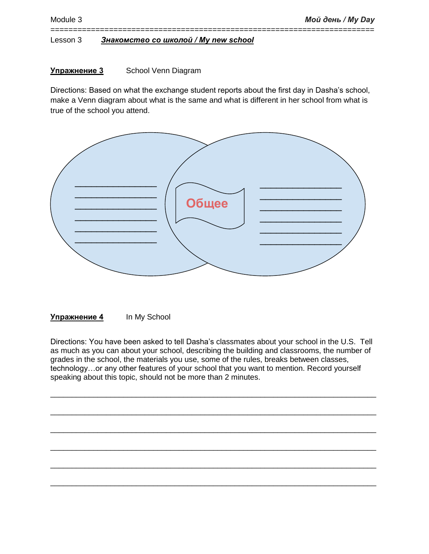## **Упражнение 3** School Venn Diagram

Directions: Based on what the exchange student reports about the first day in Dasha's school, make a Venn diagram about what is the same and what is different in her school from what is true of the school you attend.

========================================================================



**Упражнение 4** In My School

Directions: You have been asked to tell Dasha's classmates about your school in the U.S. Tell as much as you can about your school, describing the building and classrooms, the number of grades in the school, the materials you use, some of the rules, breaks between classes, technology…or any other features of your school that you want to mention. Record yourself speaking about this topic, should not be more than 2 minutes.

\_\_\_\_\_\_\_\_\_\_\_\_\_\_\_\_\_\_\_\_\_\_\_\_\_\_\_\_\_\_\_\_\_\_\_\_\_\_\_\_\_\_\_\_\_\_\_\_\_\_\_\_\_\_\_\_\_\_\_\_\_\_\_\_\_\_\_\_\_\_\_\_\_\_\_\_

\_\_\_\_\_\_\_\_\_\_\_\_\_\_\_\_\_\_\_\_\_\_\_\_\_\_\_\_\_\_\_\_\_\_\_\_\_\_\_\_\_\_\_\_\_\_\_\_\_\_\_\_\_\_\_\_\_\_\_\_\_\_\_\_\_\_\_\_\_\_\_\_\_\_\_\_

\_\_\_\_\_\_\_\_\_\_\_\_\_\_\_\_\_\_\_\_\_\_\_\_\_\_\_\_\_\_\_\_\_\_\_\_\_\_\_\_\_\_\_\_\_\_\_\_\_\_\_\_\_\_\_\_\_\_\_\_\_\_\_\_\_\_\_\_\_\_\_\_\_\_\_\_

\_\_\_\_\_\_\_\_\_\_\_\_\_\_\_\_\_\_\_\_\_\_\_\_\_\_\_\_\_\_\_\_\_\_\_\_\_\_\_\_\_\_\_\_\_\_\_\_\_\_\_\_\_\_\_\_\_\_\_\_\_\_\_\_\_\_\_\_\_\_\_\_\_\_\_\_

\_\_\_\_\_\_\_\_\_\_\_\_\_\_\_\_\_\_\_\_\_\_\_\_\_\_\_\_\_\_\_\_\_\_\_\_\_\_\_\_\_\_\_\_\_\_\_\_\_\_\_\_\_\_\_\_\_\_\_\_\_\_\_\_\_\_\_\_\_\_\_\_\_\_\_\_

\_\_\_\_\_\_\_\_\_\_\_\_\_\_\_\_\_\_\_\_\_\_\_\_\_\_\_\_\_\_\_\_\_\_\_\_\_\_\_\_\_\_\_\_\_\_\_\_\_\_\_\_\_\_\_\_\_\_\_\_\_\_\_\_\_\_\_\_\_\_\_\_\_\_\_\_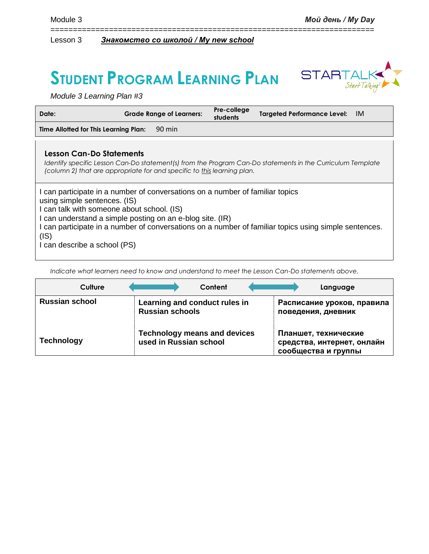# **STUDENT PROGRAM LEARNING PLAN**



*Module 3 Learning Plan #3*

| Date:                                                                                                                                                                                                                                                            | <b>Grade Range of Learners:</b> | Pre-college<br>students | Targeted Performance Level: IM                                                                             |  |
|------------------------------------------------------------------------------------------------------------------------------------------------------------------------------------------------------------------------------------------------------------------|---------------------------------|-------------------------|------------------------------------------------------------------------------------------------------------|--|
| Time Allotted for This Learning Plan:                                                                                                                                                                                                                            | 90 min                          |                         |                                                                                                            |  |
|                                                                                                                                                                                                                                                                  |                                 |                         |                                                                                                            |  |
| <b>Lesson Can-Do Statements</b><br>(column 2) that are appropriate for and specific to this learning plan.                                                                                                                                                       |                                 |                         | Identify specific Lesson Can-Do statement(s) from the Program Can-Do statements in the Curriculum Template |  |
| I can participate in a number of conversations on a number of familiar topics<br>using simple sentences. (IS)<br>I can talk with someone about school. (IS)<br>I can understand a simple posting on an e-blog site. (IR)<br>(IS)<br>I can describe a school (PS) |                                 |                         | I can participate in a number of conversations on a number of familiar topics using simple sentences.      |  |

========================================================================

*Indicate what learners need to know and understand to meet the Lesson Can-Do statements above.* 

| Culture               | Content                                                       | Language                                                                  |
|-----------------------|---------------------------------------------------------------|---------------------------------------------------------------------------|
| <b>Russian school</b> | Learning and conduct rules in<br><b>Russian schools</b>       | Расписание уроков, правила<br>поведения, дневник                          |
| <b>Technology</b>     | <b>Technology means and devices</b><br>used in Russian school | Планшет, технические<br>средства, интернет, онлайн<br>сообщества и группы |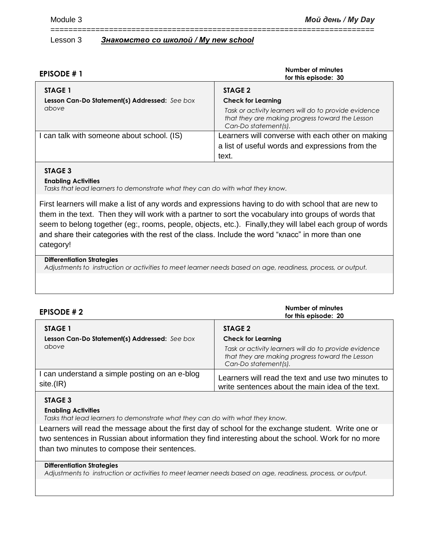| <b>EPISODE #1</b>                                        | Number of minutes<br>for this episode: 30                                                                                        |
|----------------------------------------------------------|----------------------------------------------------------------------------------------------------------------------------------|
| STAGE 1<br>Lesson Can-Do Statement(s) Addressed: See box | STAGE 2<br><b>Check for Learning</b>                                                                                             |
| above                                                    | Task or activity learners will do to provide evidence<br>that they are making progress toward the Lesson<br>Can-Do statement(s). |
| can talk with someone about school. (IS)                 | Learners will converse with each other on making                                                                                 |
|                                                          | a list of useful words and expressions from the                                                                                  |
|                                                          | text.                                                                                                                            |

========================================================================

### **STAGE 3**

#### **Enabling Activities**

*Tasks that lead learners to demonstrate what they can do with what they know.*

First learners will make a list of any words and expressions having to do with school that are new to them in the text. Then they will work with a partner to sort the vocabulary into groups of words that seem to belong together (eg:, rooms, people, objects, etc.). Finally,they will label each group of words and share their categories with the rest of the class. Include the word "класс" in more than one category!

#### **Differentiation Strategies**

*Adjustments to instruction or activities to meet learner needs based on age, readiness, process, or output.*

| <b>EPISODE #2</b>                              | Number of minutes<br>for this episode: 20                                                                                        |
|------------------------------------------------|----------------------------------------------------------------------------------------------------------------------------------|
| STAGE 1                                        | STAGE 2                                                                                                                          |
| Lesson Can-Do Statement(s) Addressed: See box  | <b>Check for Learning</b>                                                                                                        |
| above                                          | Task or activity learners will do to provide evidence<br>that they are making progress toward the Lesson<br>Can-Do statement(s). |
| I can understand a simple posting on an e-blog | Learners will read the text and use two minutes to                                                                               |
| site.(IR)                                      | write sentences about the main idea of the text.                                                                                 |

### **STAGE 3**

#### **Enabling Activities**

*Tasks that lead learners to demonstrate what they can do with what they know.*

Learners will read the message about the first day of school for the exchange student. Write one or two sentences in Russian about information they find interesting about the school. Work for no more than two minutes to compose their sentences.

#### **Differentiation Strategies**

*Adjustments to instruction or activities to meet learner needs based on age, readiness, process, or output.*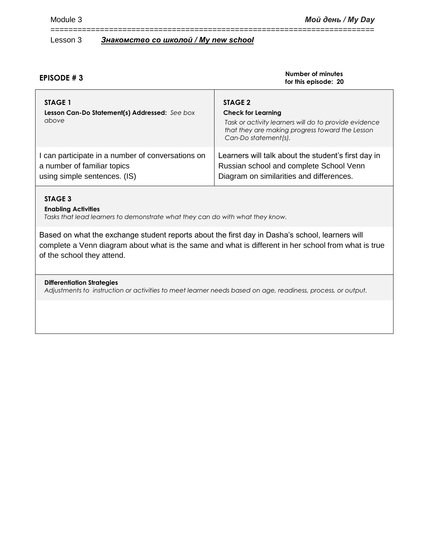## **EPISODE # 3**

#### **Number of minutes for this episode: 20**

| STAGE 1<br>Lesson Can-Do Statement(s) Addressed: See box<br>above | STAGE 2<br><b>Check for Learning</b><br>Task or activity learners will do to provide evidence<br>that they are making progress toward the Lesson<br>Can-Do statement(s). |
|-------------------------------------------------------------------|--------------------------------------------------------------------------------------------------------------------------------------------------------------------------|
| I can participate in a number of conversations on                 | Learners will talk about the student's first day in                                                                                                                      |
| a number of familiar topics                                       | Russian school and complete School Venn                                                                                                                                  |
| using simple sentences. (IS)                                      | Diagram on similarities and differences.                                                                                                                                 |

========================================================================

## **STAGE 3**

### **Enabling Activities**

*Tasks that lead learners to demonstrate what they can do with what they know.*

Based on what the exchange student reports about the first day in Dasha's school, learners will complete a Venn diagram about what is the same and what is different in her school from what is true of the school they attend.

## **Differentiation Strategies**

*Adjustments to instruction or activities to meet learner needs based on age, readiness, process, or output.*